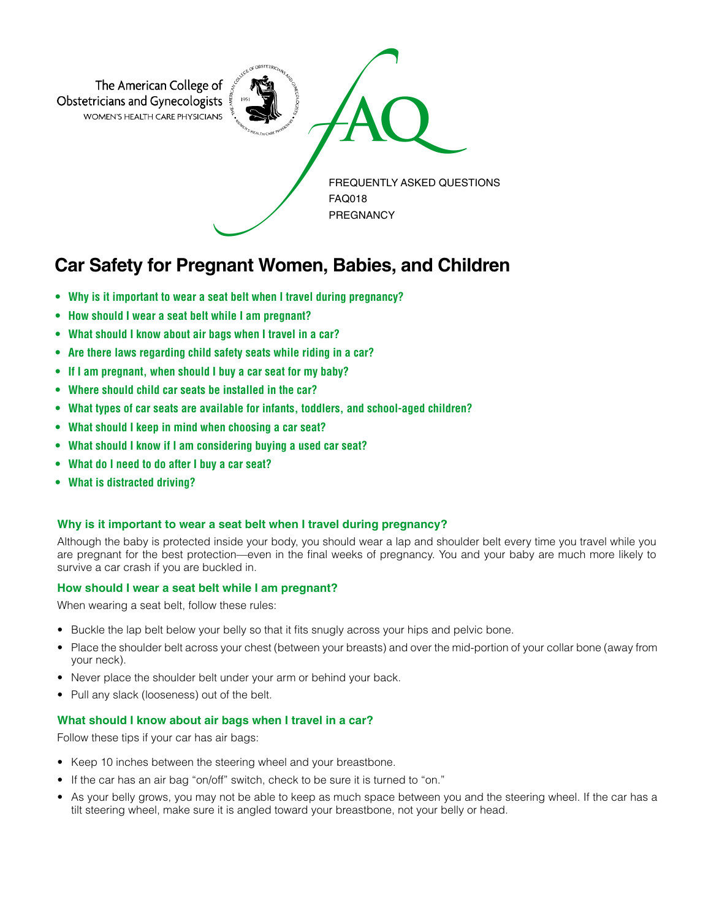

# **Car Safety for Pregnant Women, Babies, and Children**

- **• Why is it important to wear a seat belt when I travel during pregnancy?**
- **• How should I wear a seat belt while I am pregnant?**
- **• What should I know about air bags when I travel in a car?**
- **• Are there laws regarding child safety seats while riding in a car?**
- **• If I am pregnant, when should I buy a car seat for my baby?**
- **• Where should child car seats be installed in the car?**
- **• What types of car seats are available for infants, toddlers, and school-aged children?**
- **• What should I keep in mind when choosing a car seat?**
- **• What should I know if I am considering buying a used car seat?**
- **• What do I need to do after I buy a car seat?**
- **• What is distracted driving?**

# **Why is it important to wear a seat belt when I travel during pregnancy?**

Although the baby is protected inside your body, you should wear a lap and shoulder belt every time you travel while you are pregnant for the best protection—even in the final weeks of pregnancy. You and your baby are much more likely to survive a car crash if you are buckled in.

# **How should I wear a seat belt while I am pregnant?**

When wearing a seat belt, follow these rules:

- Buckle the lap belt below your belly so that it fits snugly across your hips and pelvic bone.
- Place the shoulder belt across your chest (between your breasts) and over the mid-portion of your collar bone (away from your neck).
- Never place the shoulder belt under your arm or behind your back.
- Pull any slack (looseness) out of the belt.

# **What should I know about air bags when I travel in a car?**

Follow these tips if your car has air bags:

- Keep 10 inches between the steering wheel and your breastbone.
- If the car has an air bag "on/off" switch, check to be sure it is turned to "on."
- As your belly grows, you may not be able to keep as much space between you and the steering wheel. If the car has a tilt steering wheel, make sure it is angled toward your breastbone, not your belly or head.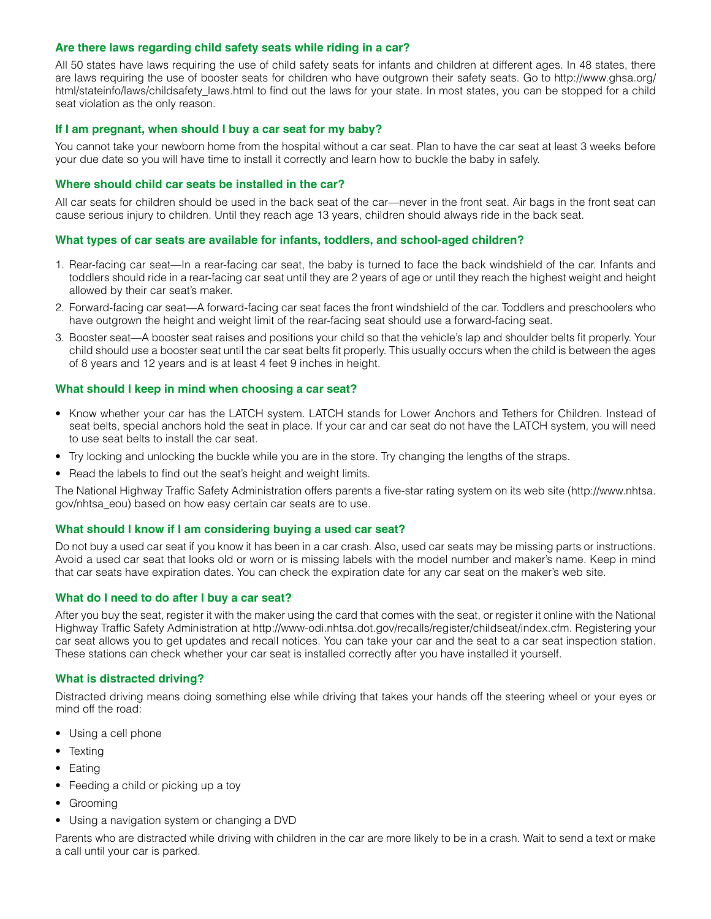# **Are there laws regarding child safety seats while riding in a car?**

All 50 states have laws requiring the use of child safety seats for infants and children at different ages. In 48 states, there are laws requiring the use of booster seats for children who have outgrown their safety seats. Go to http://www.ghsa.org/ html/stateinfo/laws/childsafety\_laws.html to find out the laws for your state. In most states, you can be stopped for a child seat violation as the only reason.

## **If I am pregnant, when should I buy a car seat for my baby?**

You cannot take your newborn home from the hospital without a car seat. Plan to have the car seat at least 3 weeks before your due date so you will have time to install it correctly and learn how to buckle the baby in safely.

#### **Where should child car seats be installed in the car?**

All car seats for children should be used in the back seat of the car—never in the front seat. Air bags in the front seat can cause serious injury to children. Until they reach age 13 years, children should always ride in the back seat.

## **What types of car seats are available for infants, toddlers, and school-aged children?**

- 1. Rear-facing car seat—In a rear-facing car seat, the baby is turned to face the back windshield of the car. Infants and toddlers should ride in a rear-facing car seat until they are 2 years of age or until they reach the highest weight and height allowed by their car seat's maker.
- 2. Forward-facing car seat—A forward-facing car seat faces the front windshield of the car. Toddlers and preschoolers who have outgrown the height and weight limit of the rear-facing seat should use a forward-facing seat.
- 3. Booster seat—A booster seat raises and positions your child so that the vehicle's lap and shoulder belts fit properly. Your child should use a booster seat until the car seat belts fit properly. This usually occurs when the child is between the ages of 8 years and 12 years and is at least 4 feet 9 inches in height.

## **What should I keep in mind when choosing a car seat?**

- Know whether your car has the LATCH system. LATCH stands for Lower Anchors and Tethers for Children. Instead of seat belts, special anchors hold the seat in place. If your car and car seat do not have the LATCH system, you will need to use seat belts to install the car seat.
- Try locking and unlocking the buckle while you are in the store. Try changing the lengths of the straps.
- Read the labels to find out the seat's height and weight limits.

The National Highway Traffic Safety Administration offers parents a five-star rating system on its web site (http://www.nhtsa. gov/nhtsa\_eou) based on how easy certain car seats are to use.

## **What should I know if I am considering buying a used car seat?**

Do not buy a used car seat if you know it has been in a car crash. Also, used car seats may be missing parts or instructions. Avoid a used car seat that looks old or worn or is missing labels with the model number and maker's name. Keep in mind that car seats have expiration dates. You can check the expiration date for any car seat on the maker's web site.

#### **What do I need to do after I buy a car seat?**

After you buy the seat, register it with the maker using the card that comes with the seat, or register it online with the National Highway Traffic Safety Administration at http://www-odi.nhtsa.dot.gov/recalls/register/childseat/index.cfm. Registering your car seat allows you to get updates and recall notices. You can take your car and the seat to a car seat inspection station. These stations can check whether your car seat is installed correctly after you have installed it yourself.

#### **What is distracted driving?**

Distracted driving means doing something else while driving that takes your hands off the steering wheel or your eyes or mind off the road:

- Using a cell phone
- Texting
- Eating
- Feeding a child or picking up a toy
- Grooming
- Using a navigation system or changing a DVD

Parents who are distracted while driving with children in the car are more likely to be in a crash. Wait to send a text or make a call until your car is parked.